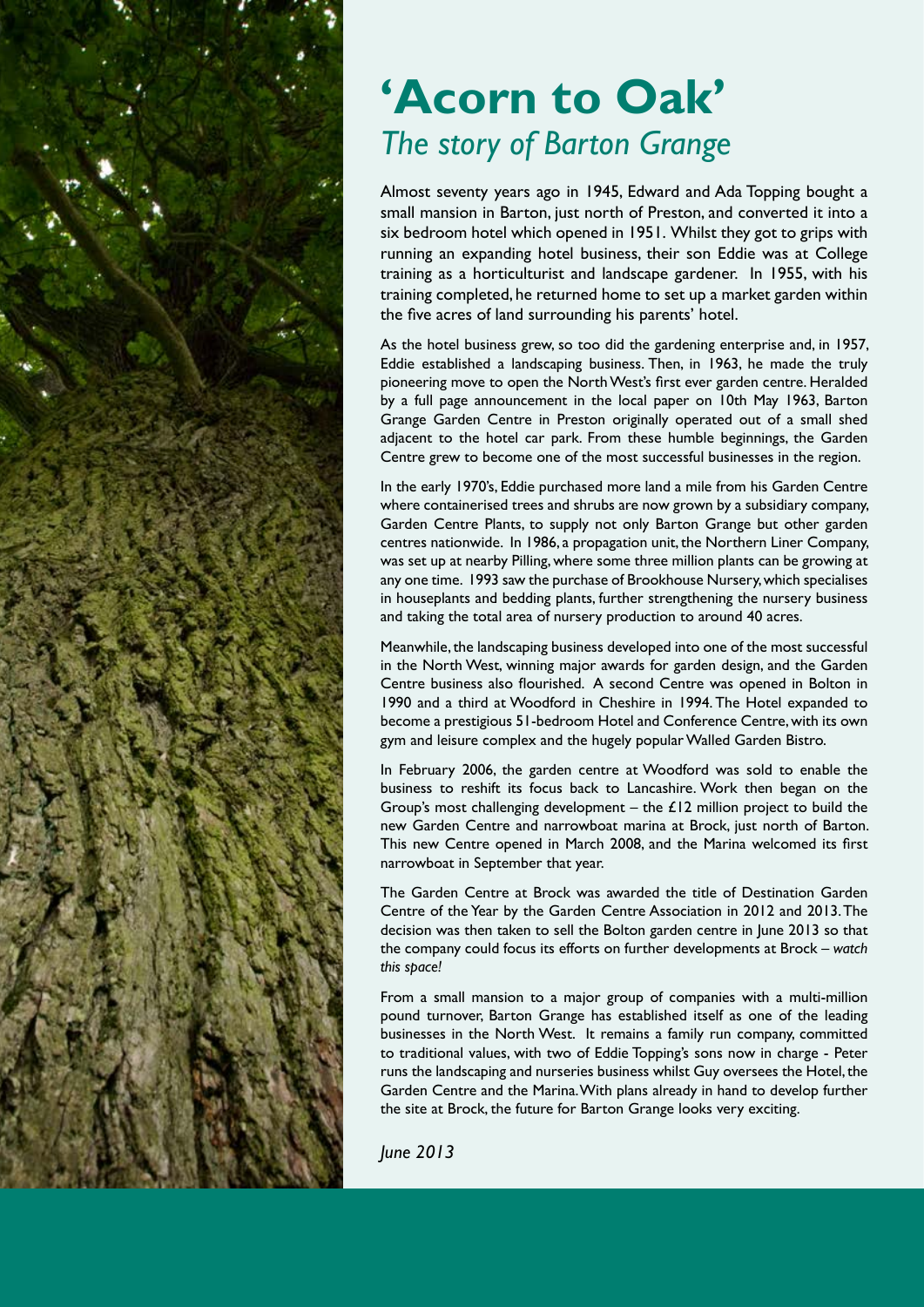

## **'Acorn to Oak'** *The story of Barton Grange*

Almost seventy years ago in 1945, Edward and Ada Topping bought a small mansion in Barton, just north of Preston, and converted it into a six bedroom hotel which opened in 1951. Whilst they got to grips with running an expanding hotel business, their son Eddie was at College training as a horticulturist and landscape gardener. In 1955, with his training completed, he returned home to set up a market garden within the five acres of land surrounding his parents' hotel.

As the hotel business grew, so too did the gardening enterprise and, in 1957, Eddie established a landscaping business. Then, in 1963, he made the truly pioneering move to open the North West's first ever garden centre. Heralded by a full page announcement in the local paper on 10th May 1963, Barton Grange Garden Centre in Preston originally operated out of a small shed adjacent to the hotel car park. From these humble beginnings, the Garden Centre grew to become one of the most successful businesses in the region.

In the early 1970's, Eddie purchased more land a mile from his Garden Centre where containerised trees and shrubs are now grown by a subsidiary company, Garden Centre Plants, to supply not only Barton Grange but other garden centres nationwide. In 1986, a propagation unit, the Northern Liner Company, was set up at nearby Pilling, where some three million plants can be growing at any one time. 1993 saw the purchase of Brookhouse Nursery, which specialises in houseplants and bedding plants, further strengthening the nursery business and taking the total area of nursery production to around 40 acres.

Meanwhile, the landscaping business developed into one of the most successful in the North West, winning major awards for garden design, and the Garden Centre business also flourished. A second Centre was opened in Bolton in 1990 and a third at Woodford in Cheshire in 1994. The Hotel expanded to become a prestigious 51-bedroom Hotel and Conference Centre, with its own gym and leisure complex and the hugely popular Walled Garden Bistro.

In February 2006, the garden centre at Woodford was sold to enable the business to reshift its focus back to Lancashire. Work then began on the Group's most challenging development – the  $£12$  million project to build the new Garden Centre and narrowboat marina at Brock, just north of Barton. This new Centre opened in March 2008, and the Marina welcomed its first narrowboat in September that year.

The Garden Centre at Brock was awarded the title of Destination Garden Centre of the Year by the Garden Centre Association in 2012 and 2013. The decision was then taken to sell the Bolton garden centre in June 2013 so that the company could focus its efforts on further developments at Brock – *watch this space!*

From a small mansion to a major group of companies with a multi-million pound turnover, Barton Grange has established itself as one of the leading businesses in the North West. It remains a family run company, committed to traditional values, with two of Eddie Topping's sons now in charge - Peter runs the landscaping and nurseries business whilst Guy oversees the Hotel, the Garden Centre and the Marina. With plans already in hand to develop further the site at Brock, the future for Barton Grange looks very exciting.

*June 2013*